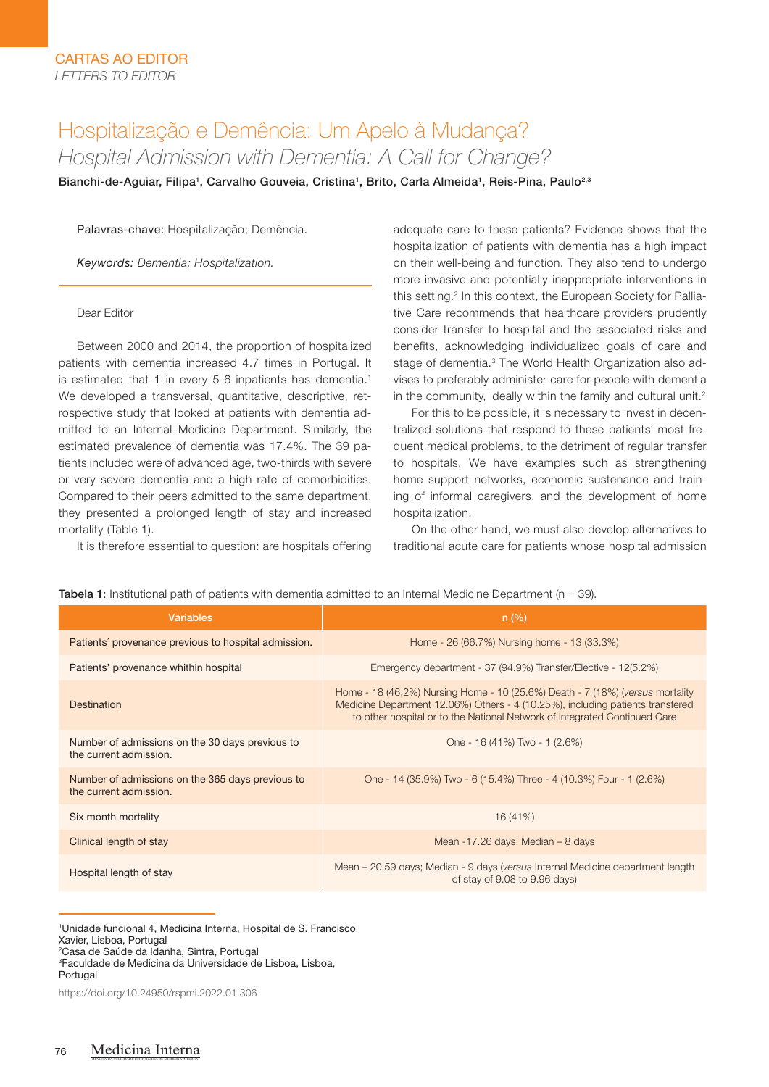# Hospitalização e Demência: Um Apelo à Mudança? *Hospital Admission with Dementia: A Call for Change?*

Bianchi-de-Aguiar, Filipa<sup>1</sup>, Carvalho Gouveia, Cristina<sup>1</sup>, Brito, Carla Almeida<sup>1</sup>, Reis-Pina, Paulo<sup>2,3</sup>

Palavras-chave: Hospitalização; Demência.

*Keywords: Dementia; Hospitalization.*

### Dear Editor

Between 2000 and 2014, the proportion of hospitalized patients with dementia increased 4.7 times in Portugal. It is estimated that 1 in every 5-6 inpatients has dementia.<sup>1</sup> We developed a transversal, quantitative, descriptive, retrospective study that looked at patients with dementia admitted to an Internal Medicine Department. Similarly, the estimated prevalence of dementia was 17.4%. The 39 patients included were of advanced age, two-thirds with severe or very severe dementia and a high rate of comorbidities. Compared to their peers admitted to the same department, they presented a prolonged length of stay and increased mortality (Table 1).

It is therefore essential to question: are hospitals offering

adequate care to these patients? Evidence shows that the hospitalization of patients with dementia has a high impact on their well-being and function. They also tend to undergo more invasive and potentially inappropriate interventions in this setting.<sup>2</sup> In this context, the European Society for Palliative Care recommends that healthcare providers prudently consider transfer to hospital and the associated risks and benefits, acknowledging individualized goals of care and stage of dementia.<sup>3</sup> The World Health Organization also advises to preferably administer care for people with dementia in the community, ideally within the family and cultural unit.<sup>2</sup>

For this to be possible, it is necessary to invest in decentralized solutions that respond to these patients´ most frequent medical problems, to the detriment of regular transfer to hospitals. We have examples such as strengthening home support networks, economic sustenance and training of informal caregivers, and the development of home hospitalization.

On the other hand, we must also develop alternatives to traditional acute care for patients whose hospital admission

**Tabela 1:** Institutional path of patients with dementia admitted to an Internal Medicine Department ( $n = 39$ ).

| <b>Variables</b>                                                           | n (%)                                                                                                                                                                                                                                        |
|----------------------------------------------------------------------------|----------------------------------------------------------------------------------------------------------------------------------------------------------------------------------------------------------------------------------------------|
| Patients' provenance previous to hospital admission.                       | Home - 26 (66.7%) Nursing home - 13 (33.3%)                                                                                                                                                                                                  |
| Patients' provenance whithin hospital                                      | Emergency department - 37 (94.9%) Transfer/Elective - 12(5.2%)                                                                                                                                                                               |
| Destination                                                                | Home - 18 (46,2%) Nursing Home - 10 (25.6%) Death - 7 (18%) (versus mortality<br>Medicine Department 12.06%) Others - 4 (10.25%), including patients transfered<br>to other hospital or to the National Network of Integrated Continued Care |
| Number of admissions on the 30 days previous to<br>the current admission.  | One - 16 (41%) Two - 1 (2.6%)                                                                                                                                                                                                                |
| Number of admissions on the 365 days previous to<br>the current admission. | One - 14 (35.9%) Two - 6 (15.4%) Three - 4 (10.3%) Four - 1 (2.6%)                                                                                                                                                                           |
| Six month mortality                                                        | 16(41%)                                                                                                                                                                                                                                      |
| Clinical length of stay                                                    | Mean -17.26 days; Median - 8 days                                                                                                                                                                                                            |
| Hospital length of stay                                                    | Mean – 20.59 days; Median - 9 days (versus Internal Medicine department length<br>of stay of 9.08 to 9.96 days)                                                                                                                              |

1 Unidade funcional 4, Medicina Interna, Hospital de S. Francisco

3 Faculdade de Medicina da Universidade de Lisboa, Lisboa, **Portugal** 

REVISTA DA SOCIEDADE PORTUGUESA DE MEDICINA INTERNA

Xavier, Lisboa, Portugal

<sup>2</sup> Casa de Saúde da Idanha, Sintra, Portugal

https://doi.org/10.24950/rspmi.2022.01.306